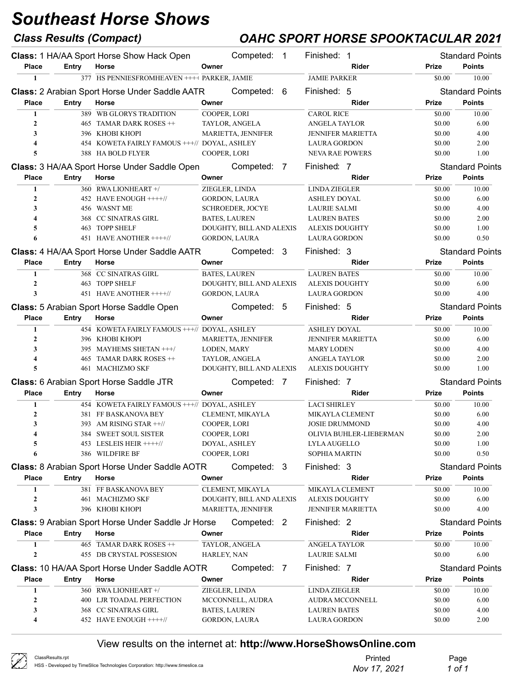### Class Results (Compact) OAHC SPORT HORSE SPOOKTACULAR 2021

|                         |              | Class: 1 HA/AA Sport Horse Show Hack Open             | Competed:<br>$\overline{1}$ | Finished: 1              |              | <b>Standard Points</b> |
|-------------------------|--------------|-------------------------------------------------------|-----------------------------|--------------------------|--------------|------------------------|
| <b>Place</b>            | Entry        | Horse                                                 | Owner                       | Rider                    | Prize        | <b>Points</b>          |
| $\mathbf{1}$            |              | 377 HS PENNIESFROMHEAVEN ++++ PARKER, JAMIE           |                             | <b>JAMIE PARKER</b>      | \$0.00       | 10.00                  |
|                         |              | <b>Class: 2 Arabian Sport Horse Under Saddle AATR</b> | Competed: 6                 | Finished: 5              |              | <b>Standard Points</b> |
| <b>Place</b>            | Entry        | Horse                                                 | Owner                       | Rider                    | Prize        | <b>Points</b>          |
| $\mathbf{1}$            |              | 389 WB GLORYS TRADITION                               | COOPER, LORI                | <b>CAROL RICE</b>        | \$0.00       | 10.00                  |
| $\mathbf{2}$            |              | 465 TAMAR DARK ROSES ++                               | TAYLOR, ANGELA              | <b>ANGELA TAYLOR</b>     | \$0.00       | 6.00                   |
| 3                       |              | 396 KHOBI KHOPI                                       | MARIETTA, JENNIFER          | <b>JENNIFER MARIETTA</b> | \$0.00       | 4.00                   |
| $\overline{\mathbf{4}}$ |              | 454 KOWETA FAIRLY FAMOUS +++// DOYAL, ASHLEY          |                             | <b>LAURA GORDON</b>      | \$0.00       | 2.00                   |
| 5                       |              | 388 HA BOLD FLYER                                     | COOPER, LORI                | <b>NEVA RAE POWERS</b>   | \$0.00       | 1.00                   |
|                         |              | Class: 3 HA/AA Sport Horse Under Saddle Open          | Competed: 7                 | Finished: 7              |              | <b>Standard Points</b> |
| <b>Place</b>            | Entry        | Horse                                                 | Owner                       | Rider                    | Prize        | <b>Points</b>          |
| 1                       |              | 360 RWA LIONHEART +/                                  | ZIEGLER, LINDA              | <b>LINDA ZIEGLER</b>     | \$0.00       | 10.00                  |
| $\mathbf{2}$            |              | 452 HAVE ENOUGH ++++//                                | <b>GORDON, LAURA</b>        | <b>ASHLEY DOYAL</b>      | \$0.00       | 6.00                   |
| 3                       |              | 456 WASNT ME                                          | <b>SCHROEDER, JOCYE</b>     | <b>LAURIE SALMI</b>      | \$0.00       | 4.00                   |
| $\overline{\mathbf{4}}$ |              | 368 CC SINATRAS GIRL                                  | <b>BATES, LAUREN</b>        | <b>LAUREN BATES</b>      | \$0.00       | 2.00                   |
| 5                       |              | 463 TOPP SHELF                                        | DOUGHTY, BILL AND ALEXIS    | <b>ALEXIS DOUGHTY</b>    | \$0.00       | 1.00                   |
| 6                       |              | 451 HAVE ANOTHER ++++//                               | <b>GORDON, LAURA</b>        | <b>LAURA GORDON</b>      | \$0.00       | 0.50                   |
|                         |              | Class: 4 HA/AA Sport Horse Under Saddle AATR          | Competed: 3                 | Finished: 3              |              | <b>Standard Points</b> |
| <b>Place</b>            | Entry        | Horse                                                 | Owner                       | Rider                    | Prize        | <b>Points</b>          |
| 1                       |              | 368 CC SINATRAS GIRL                                  | <b>BATES, LAUREN</b>        | <b>LAUREN BATES</b>      | \$0.00       | 10.00                  |
| $\overline{2}$          |              | 463 TOPP SHELF                                        | DOUGHTY, BILL AND ALEXIS    | <b>ALEXIS DOUGHTY</b>    | \$0.00       | 6.00                   |
| 3                       |              | 451 HAVE ANOTHER ++++//                               | <b>GORDON, LAURA</b>        | <b>LAURA GORDON</b>      | \$0.00       | 4.00                   |
|                         |              |                                                       | Competed: 5                 | Finished: 5              |              | <b>Standard Points</b> |
|                         |              | <b>Class:</b> 5 Arabian Sport Horse Saddle Open       |                             |                          |              |                        |
| <b>Place</b>            | <b>Entry</b> | Horse                                                 | Owner                       | Rider                    | <b>Prize</b> | <b>Points</b>          |
| 1                       |              | 454 KOWETA FAIRLY FAMOUS +++// DOYAL, ASHLEY          |                             | <b>ASHLEY DOYAL</b>      | \$0.00       | 10.00                  |
| $\mathbf{2}$<br>3       |              | 396 KHOBI KHOPI                                       | MARIETTA, JENNIFER          | <b>JENNIFER MARIETTA</b> | \$0.00       | 6.00                   |
|                         |              | 395 MAYHEMS SHETAN +++/                               | LODEN, MARY                 | <b>MARY LODEN</b>        | \$0.00       | 4.00                   |
|                         |              |                                                       |                             |                          |              |                        |
| 4                       |              | 465 TAMAR DARK ROSES ++                               | TAYLOR, ANGELA              | ANGELA TAYLOR            | \$0.00       | 2.00                   |
| 5                       |              | 461 MACHIZMO SKF                                      | DOUGHTY, BILL AND ALEXIS    | <b>ALEXIS DOUGHTY</b>    | \$0.00       | 1.00                   |
|                         |              | Class: 6 Arabian Sport Horse Saddle JTR               | Competed: 7                 | Finished: 7              |              | <b>Standard Points</b> |
| <b>Place</b>            | Entry        | Horse                                                 | Owner                       | Rider                    | <b>Prize</b> | <b>Points</b>          |
| 1                       |              | 454 KOWETA FAIRLY FAMOUS +++// DOYAL, ASHLEY          |                             | <b>LACI SHIRLEY</b>      | \$0.00       | 10.00                  |
| $\overline{2}$          |              | 381 FF BASKANOVA BEY                                  | CLEMENT, MIKAYLA            | MIKAYLA CLEMENT          | \$0.00       | 6.00                   |
| 3                       |              | 393 AM RISING STAR $++$ //                            | COOPER, LORI                | <b>JOSIE DRUMMOND</b>    | \$0.00       | 4.00                   |
| 4                       |              | 384 SWEET SOUL SISTER                                 | COOPER, LORI                | OLIVIA BUHLER-LIEBERMAN  | \$0.00       | 2.00                   |
| 5                       |              | 453 LESLEIS HEIR ++++//                               | DOYAL, ASHLEY               | <b>LYLA AUGELLO</b>      | \$0.00       | 1.00                   |
| 6                       |              | 386 WILDFIRE BF                                       | COOPER, LORI                | <b>SOPHIA MARTIN</b>     | \$0.00       | 0.50                   |
|                         |              | Class: 8 Arabian Sport Horse Under Saddle AOTR        | Competed: 3                 | Finished: 3              |              | <b>Standard Points</b> |
| <b>Place</b>            | Entry        | Horse                                                 | Owner                       | Rider                    | Prize        | <b>Points</b>          |
| 1                       |              | 381 FF BASKANOVA BEY                                  | CLEMENT, MIKAYLA            | <b>MIKAYLA CLEMENT</b>   | \$0.00       | 10.00                  |
| $\mathbf{2}$            |              | 461 MACHIZMO SKF                                      | DOUGHTY, BILL AND ALEXIS    | <b>ALEXIS DOUGHTY</b>    | \$0.00       | 6.00                   |
| 3                       |              | 396 KHOBI KHOPI                                       | MARIETTA, JENNIFER          | <b>JENNIFER MARIETTA</b> | \$0.00       | 4.00                   |
|                         |              | Class: 9 Arabian Sport Horse Under Saddle Jr Horse    | Competed: 2                 | Finished: 2              |              | <b>Standard Points</b> |
| <b>Place</b>            | Entry        | Horse                                                 | Owner                       | Rider                    | Prize        | <b>Points</b>          |
| 1                       |              | 465 TAMAR DARK ROSES ++                               | TAYLOR, ANGELA              | <b>ANGELA TAYLOR</b>     | \$0.00       | 10.00                  |
| $\boldsymbol{2}$        |              | 455 DB CRYSTAL POSSESION                              | HARLEY, NAN                 | <b>LAURIE SALMI</b>      | \$0.00       | 6.00                   |
|                         |              | Class: 10 HA/AA Sport Horse Under Saddle AOTR         | Competed: 7                 | Finished: 7              |              | <b>Standard Points</b> |
| <b>Place</b>            | <b>Entry</b> | Horse                                                 | Owner                       | Rider                    | Prize        | <b>Points</b>          |
| 1                       |              | 360 RWA LIONHEART +/                                  | ZIEGLER, LINDA              | <b>LINDA ZIEGLER</b>     | \$0.00       | 10.00                  |
| 2                       |              | 400 LJR TOADAL PERFECTION                             | MCCONNELL, AUDRA            | <b>AUDRA MCCONNELL</b>   | \$0.00       | 6.00                   |
| 3                       |              | 368 CC SINATRAS GIRL                                  | <b>BATES, LAUREN</b>        | <b>LAUREN BATES</b>      | \$0.00       | 4.00                   |
| 4                       |              | 452 HAVE ENOUGH ++++//                                | GORDON, LAURA               | LAURA GORDON             | \$0.00       | 2.00                   |

| $\curvearrowright$ | ClassResults.rpt                                                               | Printed      | Page   |
|--------------------|--------------------------------------------------------------------------------|--------------|--------|
| $\mathcal{L}$      | HSS - Developed by TimeSlice Technologies Corporation: http://www.timeslice.ca | Nov 17, 2021 | 1 of 1 |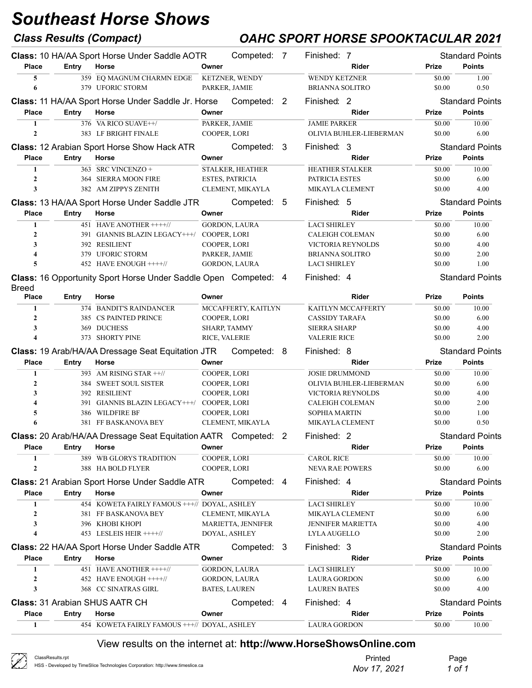## Class Results (Compact) OAHC SPORT HORSE SPOOKTACULAR 2021

|                         |       | Class: 10 HA/AA Sport Horse Under Saddle AOTR                   | Competed: 7                                  | Finished: 7                                 |                  | <b>Standard Points</b>                  |
|-------------------------|-------|-----------------------------------------------------------------|----------------------------------------------|---------------------------------------------|------------------|-----------------------------------------|
| <b>Place</b>            | Entry | Horse                                                           | Owner                                        | Rider                                       | <b>Prize</b>     | <b>Points</b>                           |
| 5                       |       | 359 EQ MAGNUM CHARMN EDGE                                       | KETZNER, WENDY                               | <b>WENDY KETZNER</b>                        | \$0.00           | 1.00                                    |
| 6                       |       | 379 UFORIC STORM                                                | PARKER, JAMIE                                | <b>BRIANNA SOLITRO</b>                      | \$0.00           | 0.50                                    |
|                         |       | Class: 11 HA/AA Sport Horse Under Saddle Jr. Horse              | Competed: 2                                  | Finished: 2                                 |                  | <b>Standard Points</b>                  |
| <b>Place</b>            | Entry | Horse                                                           | Owner                                        | Rider                                       | <b>Prize</b>     | <b>Points</b>                           |
| $\mathbf{1}$            |       | 376 VA RICO SUAVE++/                                            | PARKER, JAMIE                                | <b>JAMIE PARKER</b>                         | \$0.00           | 10.00                                   |
| $\mathbf{2}$            |       | 383 LF BRIGHT FINALE                                            | COOPER, LORI                                 | OLIVIA BUHLER-LIEBERMAN                     | \$0.00           | 6.00                                    |
|                         |       | <b>Class: 12 Arabian Sport Horse Show Hack ATR</b>              | Competed: 3                                  | Finished: 3                                 |                  | <b>Standard Points</b>                  |
| <b>Place</b>            | Entry | Horse                                                           | Owner                                        | Rider                                       | Prize            | <b>Points</b>                           |
| $\mathbf{1}$            |       | 363 SRC VINCENZO +                                              | STALKER, HEATHER                             | <b>HEATHER STALKER</b>                      | \$0.00           | 10.00                                   |
| $\mathbf{2}$            |       | 364 SIERRA MOON FIRE                                            | <b>ESTES, PATRICIA</b>                       | PATRICIA ESTES                              | \$0.00           | 6.00                                    |
| 3                       |       | 382 AM ZIPPYS ZENITH                                            | CLEMENT, MIKAYLA                             | MIKAYLA CLEMENT                             | \$0.00           | 4.00                                    |
|                         |       | Class: 13 HA/AA Sport Horse Under Saddle JTR                    | Competed: 5                                  | Finished: 5                                 |                  | <b>Standard Points</b>                  |
| <b>Place</b>            | Entry | Horse                                                           | Owner                                        | Rider                                       | Prize            | <b>Points</b>                           |
| 1                       |       | 451 HAVE ANOTHER ++++//                                         | <b>GORDON, LAURA</b>                         | <b>LACI SHIRLEY</b>                         | \$0.00           | 10.00                                   |
| $\boldsymbol{2}$        |       | 391 GIANNIS BLAZIN LEGACY+++/ COOPER, LORI                      |                                              | <b>CALEIGH COLEMAN</b>                      | \$0.00           | 6.00                                    |
| 3                       |       | 392 RESILIENT                                                   | COOPER, LORI                                 | VICTORIA REYNOLDS                           | \$0.00           | 4.00                                    |
| $\overline{\mathbf{4}}$ |       | 379 UFORIC STORM                                                | PARKER, JAMIE                                | <b>BRIANNA SOLITRO</b>                      | \$0.00           | 2.00                                    |
| 5                       |       | 452 HAVE ENOUGH ++++//                                          | <b>GORDON, LAURA</b>                         | <b>LACI SHIRLEY</b>                         | \$0.00           | 1.00                                    |
| <b>Breed</b>            |       | Class: 16 Opportunity Sport Horse Under Saddle Open Competed: 4 |                                              | Finished: 4                                 |                  | <b>Standard Points</b>                  |
| <b>Place</b>            | Entry | Horse                                                           | Owner                                        | Rider                                       | Prize            | <b>Points</b>                           |
| 1                       |       | 374 BANDIT'S RAINDANCER                                         | MCCAFFERTY, KAITLYN                          | KAITLYN MCCAFFERTY                          | \$0.00           | 10.00                                   |
| $\boldsymbol{2}$        |       | 385 CS PAINTED PRINCE                                           | COOPER, LORI                                 | <b>CASSIDY TARAFA</b>                       | \$0.00           | 6.00                                    |
| 3                       |       | 369 DUCHESS                                                     | SHARP, TAMMY                                 | <b>SIERRA SHARP</b>                         | \$0.00           | 4.00                                    |
| $\overline{\mathbf{A}}$ |       | 373 SHORTY PINE                                                 | RICE, VALERIE                                | <b>VALERIE RICE</b>                         | \$0.00           | 2.00                                    |
|                         |       |                                                                 |                                              |                                             |                  |                                         |
|                         |       | <b>Class: 19 Arab/HA/AA Dressage Seat Equitation JTR</b>        | Competed: 8                                  | Finished: 8                                 |                  | <b>Standard Points</b>                  |
| <b>Place</b>            | Entry | Horse                                                           | Owner                                        | Rider                                       | Prize            | <b>Points</b>                           |
| $\mathbf{1}$            |       | 393 AM RISING STAR ++//                                         | COOPER, LORI                                 | <b>JOSIE DRUMMOND</b>                       | \$0.00           | 10.00                                   |
| $\boldsymbol{2}$        |       | 384 SWEET SOUL SISTER                                           | COOPER, LORI                                 | OLIVIA BUHLER-LIEBERMAN                     | \$0.00           | 6.00                                    |
| 3                       |       | 392 RESILIENT                                                   | COOPER, LORI                                 | VICTORIA REYNOLDS                           | \$0.00           | 4.00                                    |
| $\overline{\mathbf{4}}$ |       | 391 GIANNIS BLAZIN LEGACY+++/                                   | COOPER, LORI                                 | CALEIGH COLEMAN                             | \$0.00           | 2.00                                    |
| 5                       |       | 386 WILDFIRE BF                                                 | COOPER, LORI                                 | <b>SOPHIA MARTIN</b>                        | \$0.00           | 1.00                                    |
| 6                       |       | 381 FF BASKANOVA BEY                                            | CLEMENT, MIKAYLA                             | MIKAYLA CLEMENT                             | \$0.00           | 0.50                                    |
|                         |       | Class: 20 Arab/HA/AA Dressage Seat Equitation AATR Competed: 2  |                                              | Finished: 2                                 |                  |                                         |
| <b>Place</b>            | Entry | Horse                                                           | Owner                                        | Rider                                       | Prize            | <b>Points</b>                           |
| 1                       |       | 389 WB GLORYS TRADITION                                         | COOPER, LORI                                 | <b>CAROL RICE</b>                           | \$0.00           | 10.00                                   |
| $\boldsymbol{2}$        |       | 388 HA BOLD FLYER                                               | COOPER, LORI                                 | <b>NEVA RAE POWERS</b>                      | \$0.00           | 6.00                                    |
|                         |       | Class: 21 Arabian Sport Horse Under Saddle ATR                  | Competed: 4                                  | Finished: 4                                 |                  | <b>Standard Points</b>                  |
| <b>Place</b>            | Entry | Horse                                                           | Owner                                        | Rider                                       | Prize            | <b>Standard Points</b><br><b>Points</b> |
| 1                       |       | 454 KOWETA FAIRLY FAMOUS +++// DOYAL, ASHLEY                    |                                              | <b>LACI SHIRLEY</b>                         | \$0.00           | 10.00                                   |
| $\mathbf{2}$<br>3       |       | 381 FF BASKANOVA BEY<br>396 KHOBI KHOPI                         | CLEMENT, MIKAYLA<br>MARIETTA, JENNIFER       | MIKAYLA CLEMENT<br><b>JENNIFER MARIETTA</b> | \$0.00<br>\$0.00 | 6.00<br>4.00                            |
| $\overline{\mathbf{4}}$ |       | 453 LESLEIS HEIR ++++//                                         | DOYAL, ASHLEY                                | <b>LYLA AUGELLO</b>                         | \$0.00           | 2.00                                    |
|                         |       |                                                                 |                                              |                                             |                  |                                         |
|                         |       | Class: 22 HA/AA Sport Horse Under Saddle ATR                    | Competed: 3                                  | Finished: 3                                 |                  | <b>Standard Points</b>                  |
| <b>Place</b><br>1       | Entry | Horse                                                           | Owner                                        | Rider                                       | <b>Prize</b>     | <b>Points</b>                           |
| $\mathbf{2}$            |       | 451 HAVE ANOTHER ++++//<br>452 HAVE ENOUGH ++++//               | GORDON, LAURA                                | <b>LACI SHIRLEY</b>                         | \$0.00<br>\$0.00 | 10.00<br>6.00                           |
| 3                       |       | 368 CC SINATRAS GIRL                                            | <b>GORDON, LAURA</b><br><b>BATES, LAUREN</b> | <b>LAURA GORDON</b><br><b>LAUREN BATES</b>  | \$0.00           | 4.00                                    |
|                         |       |                                                                 |                                              |                                             |                  |                                         |
|                         |       | <b>Class: 31 Arabian SHUS AATR CH</b>                           | Competed: 4                                  | Finished: 4                                 |                  | <b>Standard Points</b>                  |
| <b>Place</b><br>1       | Entry | Horse<br>454 KOWETA FAIRLY FAMOUS +++// DOYAL, ASHLEY           | Owner                                        | Rider<br><b>LAURA GORDON</b>                | Prize<br>\$0.00  | <b>Points</b><br>10.00                  |

| $\sqrt{2}$<br>ClassResults.rpt<br>HSS - Developed by TimeSlice Technologies Corporation: http://www.timeslice.ca | Printed<br>Nov 17, 2021 | Page<br>1 of 1 |
|------------------------------------------------------------------------------------------------------------------|-------------------------|----------------|
|------------------------------------------------------------------------------------------------------------------|-------------------------|----------------|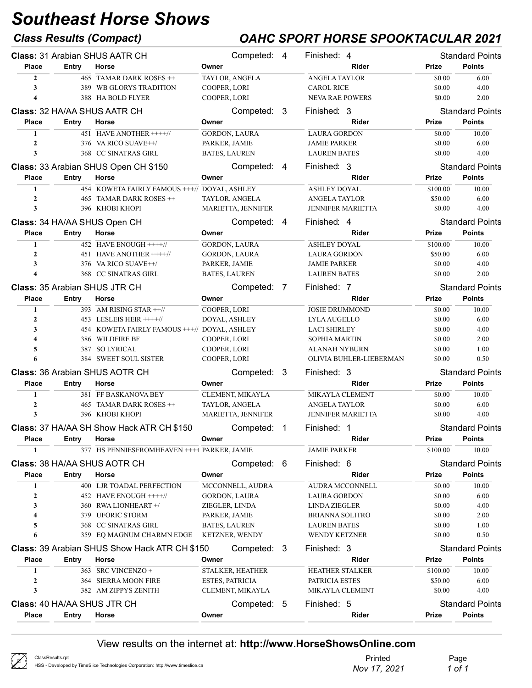### Class Results (Compact) OAHC SPORT HORSE SPOOKTACULAR 2021

|                  |              | <b>Class: 31 Arabian SHUS AATR CH</b>            |                        | Competed: 4          |                | Finished: 4              |              | <b>Standard Points</b> |
|------------------|--------------|--------------------------------------------------|------------------------|----------------------|----------------|--------------------------|--------------|------------------------|
| <b>Place</b>     | Entry        | Horse                                            | Owner                  |                      |                | Rider                    | <b>Prize</b> | <b>Points</b>          |
| $\overline{2}$   |              | 465 TAMAR DARK ROSES ++                          |                        | TAYLOR, ANGELA       |                | <b>ANGELA TAYLOR</b>     | \$0.00       | 6.00                   |
| 3                |              | 389 WB GLORYS TRADITION                          | COOPER, LORI           |                      |                | <b>CAROL RICE</b>        | \$0.00       | 4.00                   |
| 4                |              | 388 HA BOLD FLYER                                | COOPER, LORI           |                      |                | <b>NEVA RAE POWERS</b>   | \$0.00       | 2.00                   |
|                  |              | <b>Class: 32 HA/AA SHUS AATR CH</b>              |                        | Competed: 3          |                | Finished: 3              |              | <b>Standard Points</b> |
| <b>Place</b>     | Entry        | Horse                                            | Owner                  |                      |                | <b>Rider</b>             | Prize        | <b>Points</b>          |
| 1                |              | 451 HAVE ANOTHER ++++//                          |                        | <b>GORDON, LAURA</b> |                | <b>LAURA GORDON</b>      | \$0.00       | 10.00                  |
| $\mathbf{2}$     |              | 376 VA RICO SUAVE++/                             | PARKER, JAMIE          |                      |                | <b>JAMIE PARKER</b>      | \$0.00       | 6.00                   |
| 3                |              | 368 CC SINATRAS GIRL                             | <b>BATES, LAUREN</b>   |                      |                | <b>LAUREN BATES</b>      | \$0.00       | 4.00                   |
|                  |              | Class: 33 Arabian SHUS Open CH \$150             |                        | Competed: 4          |                | Finished: 3              |              | <b>Standard Points</b> |
| <b>Place</b>     | Entry        | Horse                                            | Owner                  |                      |                | Rider                    | Prize        | <b>Points</b>          |
| 1                |              | 454 KOWETA FAIRLY FAMOUS +++// DOYAL, ASHLEY     |                        |                      |                | <b>ASHLEY DOYAL</b>      | \$100.00     | 10.00                  |
| $\mathbf{2}$     |              | 465 TAMAR DARK ROSES ++                          |                        | TAYLOR, ANGELA       |                | <b>ANGELA TAYLOR</b>     | \$50.00      | 6.00                   |
| 3                |              | 396 KHOBI KHOPI                                  |                        | MARIETTA, JENNIFER   |                | JENNIFER MARIETTA        | \$0.00       | 4.00                   |
|                  |              |                                                  |                        |                      |                |                          |              |                        |
|                  |              | Class: 34 HA/AA SHUS Open CH                     |                        | Competed: 4          |                | Finished: 4              |              | <b>Standard Points</b> |
| <b>Place</b>     | Entry        | Horse                                            | Owner                  |                      |                | Rider                    | Prize        | <b>Points</b>          |
| $\mathbf{1}$     |              | 452 HAVE ENOUGH ++++//                           |                        | <b>GORDON, LAURA</b> |                | <b>ASHLEY DOYAL</b>      | \$100.00     | 10.00                  |
| $\overline{2}$   |              | 451 HAVE ANOTHER ++++//                          |                        | <b>GORDON, LAURA</b> |                | <b>LAURA GORDON</b>      | \$50.00      | 6.00                   |
| 3                |              | 376 VA RICO SUAVE++/                             | PARKER, JAMIE          |                      |                | <b>JAMIE PARKER</b>      | \$0.00       | 4.00                   |
| 4                |              | 368 CC SINATRAS GIRL                             | <b>BATES, LAUREN</b>   |                      |                | <b>LAUREN BATES</b>      | \$0.00       | 2.00                   |
|                  |              | <b>Class: 35 Arabian SHUS JTR CH</b>             |                        | Competed: 7          |                | Finished: 7              |              | <b>Standard Points</b> |
| <b>Place</b>     | <b>Entry</b> | Horse                                            | Owner                  |                      |                | Rider                    | <b>Prize</b> | <b>Points</b>          |
| 1                |              | $\overline{393}$ AM RISING STAR $\pm\frac{1}{2}$ | COOPER, LORI           |                      |                | <b>JOSIE DRUMMOND</b>    | \$0.00       | 10.00                  |
| 2                |              | 453 LESLEIS HEIR $+++/$                          | DOYAL, ASHLEY          |                      |                | LYLA AUGELLO             | \$0.00       | 6.00                   |
| 3                |              | 454 KOWETA FAIRLY FAMOUS +++// DOYAL, ASHLEY     |                        |                      |                | <b>LACI SHIRLEY</b>      | \$0.00       | 4.00                   |
| 4                |              | 386 WILDFIRE BF                                  | COOPER, LORI           |                      |                | <b>SOPHIA MARTIN</b>     | \$0.00       | 2.00                   |
| 5                |              | 387 SO LYRICAL                                   | COOPER, LORI           |                      |                | <b>ALANAH NYBURN</b>     | \$0.00       | 1.00                   |
| 6                |              | 384 SWEET SOUL SISTER                            | COOPER, LORI           |                      |                | OLIVIA BUHLER-LIEBERMAN  | \$0.00       | 0.50                   |
|                  |              | <b>Class: 36 Arabian SHUS AOTR CH</b>            |                        | Competed: 3          |                | Finished: 3              |              | <b>Standard Points</b> |
| <b>Place</b>     | Entry        | Horse                                            | Owner                  |                      |                | Rider                    | <b>Prize</b> | <b>Points</b>          |
| 1                |              | 381 FF BASKANOVA BEY                             |                        | CLEMENT, MIKAYLA     |                | MIKAYLA CLEMENT          | \$0.00       | 10.00                  |
| $\overline{2}$   |              | 465 TAMAR DARK ROSES ++                          |                        | TAYLOR, ANGELA       |                | <b>ANGELA TAYLOR</b>     | \$0.00       | 6.00                   |
| 3                |              | 396 KHOBI KHOPI                                  |                        | MARIETTA, JENNIFER   |                | <b>JENNIFER MARIETTA</b> | \$0.00       | 4.00                   |
|                  |              | Class: 37 HA/AA SH Show Hack ATR CH \$150        |                        | Competed:            | $\overline{1}$ | Finished: 1              |              | <b>Standard Points</b> |
| Place            | Entry Horse  |                                                  | Owner                  |                      |                | Rider                    | Prize        | <b>Points</b>          |
| $\mathbf{1}$     |              | 377 HS PENNIESFROMHEAVEN ++++ PARKER, JAMIE      |                        |                      |                | <b>JAMIE PARKER</b>      | \$100.00     | 10.00                  |
|                  |              | <b>Class: 38 HA/AA SHUS AOTR CH</b>              |                        | Competed: 6          |                | Finished: 6              |              | <b>Standard Points</b> |
| <b>Place</b>     | Entry        | Horse                                            | Owner                  |                      |                | Rider                    | Prize        | <b>Points</b>          |
| 1                |              | 400 LJR TOADAL PERFECTION                        |                        | MCCONNELL, AUDRA     |                | AUDRA MCCONNELL          | \$0.00       | 10.00                  |
| 2                |              | 452 HAVE ENOUGH ++++//                           |                        | <b>GORDON, LAURA</b> |                | <b>LAURA GORDON</b>      | \$0.00       | 6.00                   |
| 3                |              | 360 RWA LIONHEART +/                             | ZIEGLER, LINDA         |                      |                | <b>LINDA ZIEGLER</b>     | \$0.00       | 4.00                   |
| 4                |              | 379 UFORIC STORM                                 | PARKER, JAMIE          |                      |                | <b>BRIANNA SOLITRO</b>   | \$0.00       | 2.00                   |
| 5                |              | 368 CC SINATRAS GIRL                             | <b>BATES, LAUREN</b>   |                      |                | <b>LAUREN BATES</b>      | \$0.00       | 1.00                   |
| 6                |              | 359 EQ MAGNUM CHARMN EDGE                        |                        | KETZNER, WENDY       |                | <b>WENDY KETZNER</b>     | \$0.00       | 0.50                   |
|                  |              | Class: 39 Arabian SHUS Show Hack ATR CH \$150    |                        | Competed: 3          |                | Finished: 3              |              | <b>Standard Points</b> |
| <b>Place</b>     | <b>Entry</b> | Horse                                            | Owner                  |                      |                | Rider                    | Prize        | <b>Points</b>          |
| 1                |              | 363 SRC VINCENZO +                               |                        | STALKER, HEATHER     |                | <b>HEATHER STALKER</b>   | \$100.00     | 10.00                  |
| $\boldsymbol{2}$ |              | 364 SIERRA MOON FIRE                             | <b>ESTES, PATRICIA</b> |                      |                | PATRICIA ESTES           | \$50.00      | 6.00                   |
| 3                |              | 382 AM ZIPPYS ZENITH                             |                        | CLEMENT, MIKAYLA     |                | MIKAYLA CLEMENT          | \$0.00       | 4.00                   |
|                  |              |                                                  |                        |                      |                |                          |              |                        |
|                  |              | Class: 40 HA/AA SHUS JTR CH                      |                        | Competed: 5          |                | Finished: 5              |              | <b>Standard Points</b> |
| <b>Place</b>     | <b>Entry</b> | Horse                                            | Owner                  |                      |                | Rider                    | Prize        | <b>Points</b>          |

| $\varnothing$ | ClassResults.rpt                                                               | Printed      | Page   |
|---------------|--------------------------------------------------------------------------------|--------------|--------|
|               | HSS - Developed by TimeSlice Technologies Corporation: http://www.timeslice.ca | Nov 17, 2021 | 1 of 1 |
|               |                                                                                |              |        |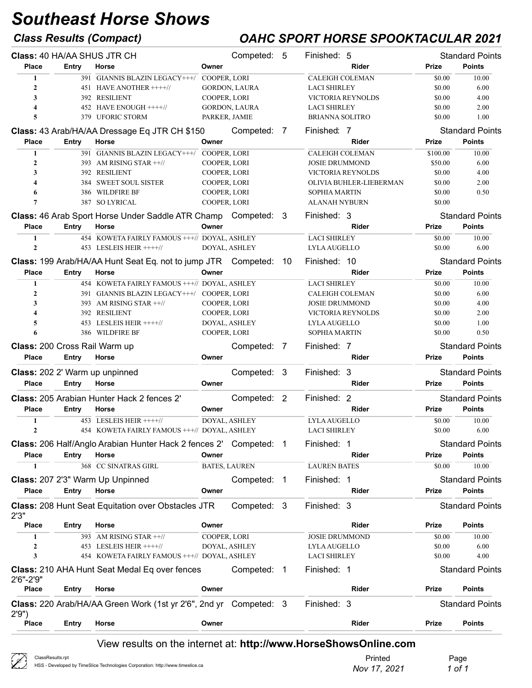$\chi$ 

### Class Results (Compact) OAHC SPORT HORSE SPOOKTACULAR 2021

| Class: 40 HA/AA SHUS JTR CH    |              |                                                                          |               | Competed: 5          |                | Finished: 5              |              | <b>Standard Points</b> |
|--------------------------------|--------------|--------------------------------------------------------------------------|---------------|----------------------|----------------|--------------------------|--------------|------------------------|
| <b>Place</b>                   | Entry        | Horse                                                                    | Owner         |                      |                | <b>Rider</b>             | Prize        | <b>Points</b>          |
| 1                              |              | 391 GIANNIS BLAZIN LEGACY+++/ COOPER, LORI                               |               |                      |                | <b>CALEIGH COLEMAN</b>   | \$0.00       | 10.00                  |
| $\mathbf{2}$                   |              | 451 HAVE ANOTHER ++++//                                                  |               | GORDON, LAURA        |                | <b>LACI SHIRLEY</b>      | \$0.00       | 6.00                   |
| 3                              |              | 392 RESILIENT                                                            | COOPER, LORI  |                      |                | <b>VICTORIA REYNOLDS</b> | \$0.00       | 4.00                   |
| $\overline{\mathbf{4}}$        |              | 452 HAVE ENOUGH ++++//                                                   |               | <b>GORDON, LAURA</b> |                | <b>LACI SHIRLEY</b>      | \$0.00       | 2.00                   |
| 5                              |              | 379 UFORIC STORM                                                         | PARKER, JAMIE |                      |                | <b>BRIANNA SOLITRO</b>   | \$0.00       | 1.00                   |
|                                |              | Class: 43 Arab/HA/AA Dressage Eq JTR CH \$150                            |               | Competed:            | $\overline{7}$ | Finished: 7              |              | <b>Standard Points</b> |
| <b>Place</b>                   | Entry        | Horse                                                                    | Owner         |                      |                | Rider                    | Prize        | <b>Points</b>          |
| $\mathbf{1}$                   |              | 391 GIANNIS BLAZIN LEGACY+++/                                            | COOPER, LORI  |                      |                | <b>CALEIGH COLEMAN</b>   | \$100.00     | 10.00                  |
| $\overline{2}$                 |              | 393 AM RISING STAR ++//                                                  | COOPER, LORI  |                      |                | <b>JOSIE DRUMMOND</b>    | \$50.00      | 6.00                   |
| 3                              |              | 392 RESILIENT                                                            | COOPER, LORI  |                      |                | VICTORIA REYNOLDS        | \$0.00       | 4.00                   |
| $\overline{\mathbf{4}}$        |              | 384 SWEET SOUL SISTER                                                    | COOPER, LORI  |                      |                | OLIVIA BUHLER-LIEBERMAN  | \$0.00       | 2.00                   |
| 6                              |              | 386 WILDFIRE BF                                                          | COOPER, LORI  |                      |                | SOPHIA MARTIN            | \$0.00       | 0.50                   |
| $\overline{7}$                 |              | 387 SO LYRICAL                                                           | COOPER, LORI  |                      |                | <b>ALANAH NYBURN</b>     | \$0.00       |                        |
|                                |              | <b>Class: 46 Arab Sport Horse Under Saddle ATR Champ Competed: 3</b>     |               |                      |                | Finished: 3              |              | <b>Standard Points</b> |
| Place                          | Entry        | Horse                                                                    | Owner         |                      |                | Rider                    | Prize        | <b>Points</b>          |
| 1                              |              | 454 KOWETA FAIRLY FAMOUS +++// DOYAL, ASHLEY                             |               |                      |                | <b>LACI SHIRLEY</b>      | \$0.00       | 10.00                  |
| $\overline{2}$                 |              | 453 LESLEIS HEIR ++++//                                                  |               | DOYAL, ASHLEY        |                | LYLA AUGELLO             | \$0.00       | 6.00                   |
|                                |              | <b>Class: 199 Arab/HA/AA Hunt Seat Eq. not to jump JTR Competed: 10</b>  |               |                      |                | Finished: 10             |              | <b>Standard Points</b> |
| <b>Place</b>                   | Entry        | Horse                                                                    | Owner         |                      |                | <b>Rider</b>             | Prize        | <b>Points</b>          |
| $\mathbf{1}$                   |              | 454 KOWETA FAIRLY FAMOUS +++// DOYAL, ASHLEY                             |               |                      |                | <b>LACI SHIRLEY</b>      | \$0.00       | 10.00                  |
| $\overline{2}$                 |              | 391 GIANNIS BLAZIN LEGACY+++/ COOPER, LORI                               |               |                      |                | <b>CALEIGH COLEMAN</b>   | \$0.00       | 6.00                   |
| 3                              |              | 393 AM RISING STAR $\pm$ 1/                                              | COOPER, LORI  |                      |                | <b>JOSIE DRUMMOND</b>    | \$0.00       | 4.00                   |
| $\overline{\mathbf{4}}$        |              | 392 RESILIENT                                                            | COOPER, LORI  |                      |                | VICTORIA REYNOLDS        | \$0.00       | 2.00                   |
| 5                              |              | 453 LESLEIS HEIR ++++//                                                  |               | DOYAL, ASHLEY        |                | LYLA AUGELLO             | \$0.00       | 1.00                   |
| 6                              |              | 386 WILDFIRE BF                                                          | COOPER, LORI  |                      |                | SOPHIA MARTIN            | \$0.00       | 0.50                   |
| Class: 200 Cross Rail Warm up  |              |                                                                          |               | Competed: 7          |                | Finished: 7              |              | <b>Standard Points</b> |
| <b>Place</b>                   | Entry        | Horse                                                                    | Owner         |                      |                | <b>Rider</b>             | Prize        | <b>Points</b>          |
| Class: 202 2' Warm up unpinned |              |                                                                          |               | Competed: 3          |                | Finished: 3              |              | <b>Standard Points</b> |
| <b>Place</b>                   | Entry        | Horse                                                                    | Owner         |                      |                | Rider                    | <b>Prize</b> | <b>Points</b>          |
|                                |              |                                                                          |               |                      |                |                          |              |                        |
|                                |              | Class: 205 Arabian Hunter Hack 2 fences 2'                               |               | Competed: 2          |                | Finished: 2              |              | <b>Standard Points</b> |
| <b>Place</b>                   | <b>Entry</b> | Horse                                                                    | Owner         |                      |                | Rider                    | Prize        | <b>Points</b>          |
| 1                              |              | 453 LESLEIS HEIR ++++//                                                  |               | DOYAL, ASHLEY        |                | <b>LYLA AUGELLO</b>      | \$0.00       | 10.00                  |
| $\overline{2}$                 |              | 454 KOWETA FAIRLY FAMOUS +++// DOYAL, ASHLEY                             |               |                      |                | <b>LACI SHIRLEY</b>      | \$0.00       | 6.00                   |
|                                |              | <b>Class: 206 Half/Anglo Arabian Hunter Hack 2 fences 2' Competed: 1</b> |               |                      |                | Finished: 1              |              | <b>Standard Points</b> |
| <b>Place</b>                   | Entry        | Horse                                                                    | Owner         |                      |                | Rider                    | Prize        | <b>Points</b>          |
| $\mathbf{1}$                   |              | 368 CC SINATRAS GIRL                                                     |               | <b>BATES, LAUREN</b> |                | <b>LAUREN BATES</b>      | \$0.00       | 10.00                  |
|                                |              | Class: 207 2'3" Warm Up Unpinned                                         |               | Competed: 1          |                | Finished: 1              |              | <b>Standard Points</b> |
|                                |              |                                                                          | Owner         |                      |                |                          |              | <b>Points</b>          |
| <b>Place</b>                   | Entry        | Horse                                                                    |               |                      |                | Rider                    | Prize        |                        |
| 2'3''                          |              | <b>Class: 208 Hunt Seat Equitation over Obstacles JTR</b>                |               | Competed: 3          |                | Finished: 3              |              | <b>Standard Points</b> |
| <b>Place</b>                   | <b>Entry</b> | Horse                                                                    | Owner         |                      |                | Rider                    | <b>Prize</b> | <b>Points</b>          |
| 1                              |              | 393 AM RISING STAR ++//                                                  | COOPER, LORI  |                      |                | <b>JOSIE DRUMMOND</b>    | \$0.00       | 10.00                  |
| $\overline{2}$                 |              | 453 LESLEIS HEIR ++++//                                                  |               | DOYAL, ASHLEY        |                | <b>LYLA AUGELLO</b>      | \$0.00       | 6.00                   |
| 3                              |              | 454 KOWETA FAIRLY FAMOUS +++// DOYAL, ASHLEY                             |               |                      |                | <b>LACI SHIRLEY</b>      | \$0.00       | 4.00                   |
| 2'6"-2'9"                      |              | <b>Class: 210 AHA Hunt Seat Medal Eq over fences</b>                     |               | Competed: 1          |                | Finished: 1              |              | <b>Standard Points</b> |
| <b>Place</b>                   | Entry        | Horse                                                                    | Owner         |                      |                | Rider                    | Prize        | <b>Points</b>          |
| 2'9'                           |              | Class: 220 Arab/HA/AA Green Work (1st yr 2'6", 2nd yr Competed: 3        |               |                      |                | Finished: 3              |              | <b>Standard Points</b> |
| <b>Place</b>                   | <b>Entry</b> | Horse                                                                    | Owner         |                      |                | Rider                    | Prize        | <b>Points</b>          |
|                                |              |                                                                          |               |                      |                |                          |              |                        |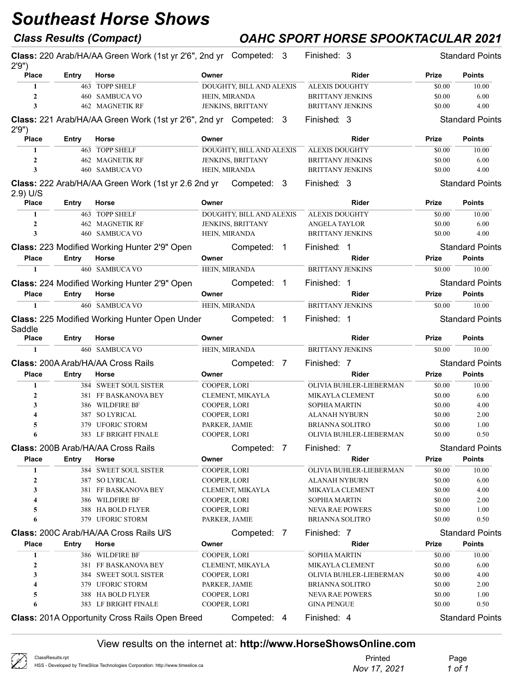## Class Results (Compact) OAHC SPORT HORSE SPOOKTACULAR 2021

|                  |       |                                                                            |                          |                          |                         |              | <b>Standard Points</b> |
|------------------|-------|----------------------------------------------------------------------------|--------------------------|--------------------------|-------------------------|--------------|------------------------|
| 2'9'             |       | Class: 220 Arab/HA/AA Green Work (1st yr 2'6", 2nd yr Competed: 3<br>Horse |                          |                          | Finished: 3             |              | <b>Points</b>          |
| <b>Place</b>     | Entry |                                                                            | Owner                    |                          | Rider                   | Prize        |                        |
| 1                |       | 463 TOPP SHELF                                                             | DOUGHTY, BILL AND ALEXIS |                          | <b>ALEXIS DOUGHTY</b>   | \$0.00       | 10.00                  |
| $\overline{2}$   |       | 460 SAMBUCA VO                                                             | HEIN, MIRANDA            |                          | <b>BRITTANY JENKINS</b> | \$0.00       | 6.00                   |
| 3                |       | <b>462 MAGNETIK RF</b>                                                     | JENKINS, BRITTANY        |                          | <b>BRITTANY JENKINS</b> | \$0.00       | 4.00                   |
| 2'9'             |       | Class: 221 Arab/HA/AA Green Work (1st yr 2'6", 2nd yr Competed: 3          |                          |                          | Finished: 3             |              | <b>Standard Points</b> |
| <b>Place</b>     | Entry | Horse                                                                      | Owner                    |                          | Rider                   | Prize        | <b>Points</b>          |
| 1                |       | 463 TOPP SHELF                                                             | DOUGHTY, BILL AND ALEXIS |                          | <b>ALEXIS DOUGHTY</b>   | \$0.00       | 10.00                  |
| $\overline{2}$   |       | <b>462 MAGNETIK RF</b>                                                     | JENKINS, BRITTANY        |                          | <b>BRITTANY JENKINS</b> | \$0.00       | 6.00                   |
| 3                |       | 460 SAMBUCA VO                                                             | HEIN, MIRANDA            |                          | <b>BRITTANY JENKINS</b> | \$0.00       | 4.00                   |
| 2.9) U/S         |       | Class: 222 Arab/HA/AA Green Work (1st yr 2.6 2nd yr                        | Competed: 3              |                          | Finished: 3             |              | <b>Standard Points</b> |
| <b>Place</b>     | Entry | Horse                                                                      | Owner                    |                          | Rider                   | Prize        | <b>Points</b>          |
| 1                |       | 463 TOPP SHELF                                                             | DOUGHTY, BILL AND ALEXIS |                          | <b>ALEXIS DOUGHTY</b>   | \$0.00       | 10.00                  |
| $\overline{2}$   |       | <b>462 MAGNETIK RF</b>                                                     | JENKINS, BRITTANY        |                          | ANGELA TAYLOR           | \$0.00       | 6.00                   |
| 3                |       | 460 SAMBUCA VO                                                             | HEIN, MIRANDA            |                          | <b>BRITTANY JENKINS</b> | \$0.00       | 4.00                   |
|                  |       |                                                                            |                          |                          |                         |              |                        |
|                  |       | Class: 223 Modified Working Hunter 2'9" Open                               | Competed:                | $\overline{\phantom{1}}$ | Finished: 1             |              | <b>Standard Points</b> |
| <b>Place</b>     | Entry | Horse                                                                      | Owner                    |                          | Rider                   | Prize        | <b>Points</b>          |
| $\mathbf{1}$     |       | 460 SAMBUCA VO                                                             | HEIN, MIRANDA            |                          | <b>BRITTANY JENKINS</b> | \$0.00       | 10.00                  |
|                  |       | Class: 224 Modified Working Hunter 2'9" Open                               | Competed: 1              |                          | Finished: 1             |              | <b>Standard Points</b> |
| <b>Place</b>     | Entry | Horse                                                                      | Owner                    |                          | Rider                   | Prize        | <b>Points</b>          |
| $\mathbf{1}$     |       | 460 SAMBUCA VO                                                             | HEIN, MIRANDA            |                          | <b>BRITTANY JENKINS</b> | \$0.00       | 10.00                  |
| Saddle           |       | <b>Class: 225 Modified Working Hunter Open Under</b>                       | Competed: 1              |                          | Finished: 1             |              | <b>Standard Points</b> |
| <b>Place</b>     | Entry | Horse                                                                      | Owner                    |                          | Rider                   | Prize        | <b>Points</b>          |
| $\mathbf{1}$     |       | 460 SAMBUCA VO                                                             | HEIN, MIRANDA            |                          | <b>BRITTANY JENKINS</b> | \$0.00       | 10.00                  |
|                  |       | Class: 200A Arab/HA/AA Cross Rails                                         | Competed: 7              |                          | Finished: 7             |              | <b>Standard Points</b> |
| <b>Place</b>     | Entry | Horse                                                                      | Owner                    |                          | Rider                   | <b>Prize</b> | <b>Points</b>          |
| 1                |       | 384 SWEET SOUL SISTER                                                      | COOPER, LORI             |                          | OLIVIA BUHLER-LIEBERMAN | \$0.00       | 10.00                  |
| $\mathbf{2}$     |       | 381 FF BASKANOVA BEY                                                       | CLEMENT, MIKAYLA         |                          | MIKAYLA CLEMENT         | \$0.00       | 6.00                   |
| 3                |       | 386 WILDFIRE BF                                                            | COOPER, LORI             |                          | <b>SOPHIA MARTIN</b>    | \$0.00       | 4.00                   |
| 4                |       | 387 SO LYRICAL                                                             | COOPER, LORI             |                          | <b>ALANAH NYBURN</b>    | \$0.00       | 2.00                   |
| 5                |       | 379 UFORIC STORM                                                           | PARKER, JAMIE            |                          | <b>BRIANNA SOLITRO</b>  | \$0.00       | 1.00                   |
| 6                |       | 383 LF BRIGHT FINALE                                                       | COOPER, LORI             |                          | OLIVIA BUHLER-LIEBERMAN | \$0.00       | 0.50                   |
|                  |       |                                                                            |                          |                          |                         |              |                        |
|                  |       | Class: 200B Arab/HA/AA Cross Rails                                         | Competed: 7              |                          | Finished: 7             |              | <b>Standard Points</b> |
| <b>Place</b>     | Entry | Horse                                                                      | Owner                    |                          | Rider                   | Prize        | <b>Points</b>          |
| 1                |       | 384 SWEET SOUL SISTER                                                      | COOPER, LORI             |                          | OLIVIA BUHLER-LIEBERMAN | \$0.00       | 10.00                  |
| $\boldsymbol{2}$ |       | 387 SO LYRICAL                                                             | COOPER, LORI             |                          | <b>ALANAH NYBURN</b>    | \$0.00       | 6.00                   |
| 3                |       | 381 FF BASKANOVA BEY                                                       | CLEMENT, MIKAYLA         |                          | MIKAYLA CLEMENT         | \$0.00       | 4.00                   |
| 4                |       | 386 WILDFIRE BF                                                            | COOPER, LORI             |                          | <b>SOPHIA MARTIN</b>    | \$0.00       | 2.00                   |
| 5                |       | 388 HA BOLD FLYER                                                          | COOPER, LORI             |                          | <b>NEVA RAE POWERS</b>  | \$0.00       | 1.00                   |
| 6                |       | 379 UFORIC STORM                                                           | PARKER, JAMIE            |                          | <b>BRIANNA SOLITRO</b>  | \$0.00       | 0.50                   |
|                  |       | Class: 200C Arab/HA/AA Cross Rails U/S                                     | Competed:                | $\overline{7}$           | Finished: 7             |              | <b>Standard Points</b> |
| <b>Place</b>     | Entry | Horse                                                                      | Owner                    |                          | Rider                   | <b>Prize</b> | <b>Points</b>          |
| 1                |       | 386 WILDFIRE BF                                                            | COOPER, LORI             |                          | SOPHIA MARTIN           | \$0.00       | 10.00                  |
| $\overline{2}$   |       | 381 FF BASKANOVA BEY                                                       | CLEMENT, MIKAYLA         |                          | MIKAYLA CLEMENT         | \$0.00       | 6.00                   |
| 3                |       | 384 SWEET SOUL SISTER                                                      | COOPER, LORI             |                          | OLIVIA BUHLER-LIEBERMAN | \$0.00       | 4.00                   |
| 4                |       | 379 UFORIC STORM                                                           | PARKER, JAMIE            |                          | <b>BRIANNA SOLITRO</b>  | \$0.00       | 2.00                   |
| 5                |       | 388 HA BOLD FLYER                                                          | COOPER, LORI             |                          | <b>NEVA RAE POWERS</b>  | \$0.00       | 1.00                   |
| 6                |       | 383 LF BRIGHT FINALE                                                       | COOPER, LORI             |                          | <b>GINA PENGUE</b>      | \$0.00       | 0.50                   |
|                  |       |                                                                            |                          |                          |                         |              |                        |
|                  |       | <b>Class: 201A Opportunity Cross Rails Open Breed</b>                      | Competed: 4              |                          | Finished: 4             |              | <b>Standard Points</b> |

| $\sqrt{2}$<br>ClassResults.rpt<br>$\mathcal{L}$<br>HSS - Developed by TimeSlice Technologies Corporation: http://www.timeslice.ca | Printed<br>Nov 17, 2021 | Page<br>1 of ' |
|-----------------------------------------------------------------------------------------------------------------------------------|-------------------------|----------------|
|-----------------------------------------------------------------------------------------------------------------------------------|-------------------------|----------------|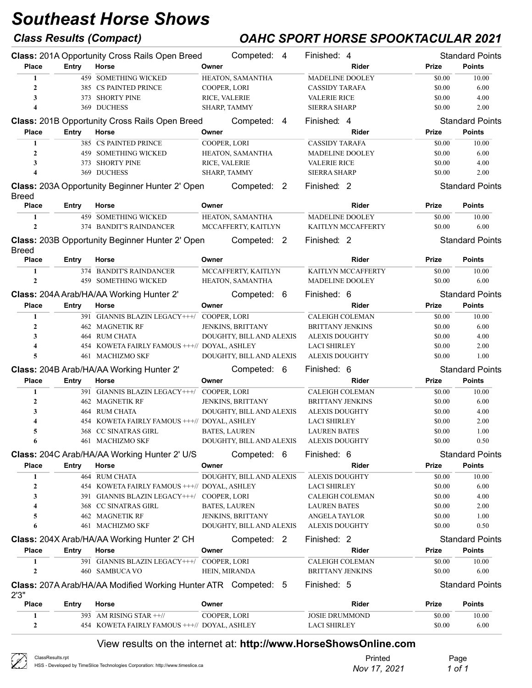## Class Results (Compact) OAHC SPORT HORSE SPOOKTACULAR 2021

|                         |              | <b>Class: 201A Opportunity Cross Rails Open Breed</b>                 |                     | Competed: 4              | Finished: 4                                                      |              | <b>Standard Points</b> |
|-------------------------|--------------|-----------------------------------------------------------------------|---------------------|--------------------------|------------------------------------------------------------------|--------------|------------------------|
| <b>Place</b>            | Entry        | Horse                                                                 | Owner               |                          | Rider                                                            | Prize        | <b>Points</b>          |
| 1                       |              | <b>459 SOMETHING WICKED</b>                                           |                     | HEATON, SAMANTHA         | <b>MADELINE DOOLEY</b>                                           | \$0.00       | 10.00                  |
| $\mathbf{2}$            |              | 385 CS PAINTED PRINCE                                                 | COOPER, LORI        |                          | <b>CASSIDY TARAFA</b>                                            | \$0.00       | 6.00                   |
| 3                       |              | 373 SHORTY PINE                                                       | RICE, VALERIE       |                          | <b>VALERIE RICE</b>                                              | \$0.00       | 4.00                   |
| 4                       |              | 369 DUCHESS                                                           | SHARP, TAMMY        |                          | <b>SIERRA SHARP</b>                                              | \$0.00       | 2.00                   |
|                         |              | Class: 201B Opportunity Cross Rails Open Breed                        |                     | Competed: 4              | Finished: 4                                                      |              | <b>Standard Points</b> |
| <b>Place</b>            | Entry        | Horse                                                                 | Owner               |                          | Rider                                                            | Prize        | <b>Points</b>          |
| $\mathbf{1}$            |              | 385 CS PAINTED PRINCE                                                 | <b>COOPER, LORI</b> |                          | <b>CASSIDY TARAFA</b>                                            | \$0.00       | 10.00                  |
| $\mathbf{2}$            |              | <b>459 SOMETHING WICKED</b>                                           |                     | HEATON, SAMANTHA         | MADELINE DOOLEY                                                  | \$0.00       | 6.00                   |
| 3                       |              | 373 SHORTY PINE                                                       | RICE, VALERIE       |                          | <b>VALERIE RICE</b>                                              | \$0.00       | 4.00                   |
| $\overline{\mathbf{4}}$ |              | 369 DUCHESS                                                           | <b>SHARP, TAMMY</b> |                          | <b>SIERRA SHARP</b>                                              | \$0.00       | 2.00                   |
| <b>Breed</b>            |              | Class: 203A Opportunity Beginner Hunter 2' Open                       |                     | Competed: 2              | Finished: 2                                                      |              | <b>Standard Points</b> |
| <b>Place</b>            | <b>Entry</b> | Horse                                                                 | Owner               |                          | <b>Rider</b>                                                     | Prize        | <b>Points</b>          |
| 1                       |              | 459 SOMETHING WICKED                                                  |                     | HEATON, SAMANTHA         | <b>MADELINE DOOLEY</b>                                           | \$0.00       | 10.00                  |
| $\mathbf{2}$            |              | 374 BANDIT'S RAINDANCER                                               |                     | MCCAFFERTY, KAITLYN      | KAITLYN MCCAFFERTY                                               | \$0.00       | 6.00                   |
|                         |              |                                                                       |                     |                          |                                                                  |              |                        |
| <b>Breed</b>            |              | <b>Class: 203B Opportunity Beginner Hunter 2' Open</b>                |                     | Competed: 2              | Finished: 2                                                      |              | <b>Standard Points</b> |
| <b>Place</b>            | Entry        | Horse                                                                 | Owner               |                          | <b>Rider</b>                                                     | Prize        | <b>Points</b>          |
| 1                       |              | 374 BANDIT'S RAINDANCER                                               |                     | MCCAFFERTY, KAITLYN      | KAITLYN MCCAFFERTY                                               | \$0.00       | 10.00                  |
| $\mathbf{2}$            |              | <b>459 SOMETHING WICKED</b>                                           |                     | HEATON, SAMANTHA         | <b>MADELINE DOOLEY</b>                                           | \$0.00       | 6.00                   |
|                         |              | Class: 204A Arab/HA/AA Working Hunter 2'                              |                     | Competed: 6              | Finished: 6                                                      |              | <b>Standard Points</b> |
| <b>Place</b>            | Entry        | Horse                                                                 | Owner               |                          | Rider                                                            | Prize        | <b>Points</b>          |
| 1                       |              | 391 GIANNIS BLAZIN LEGACY+++/ COOPER, LORI                            |                     |                          | <b>CALEIGH COLEMAN</b>                                           | \$0.00       | 10.00                  |
| $\mathbf{2}$            |              | <b>462 MAGNETIK RF</b>                                                |                     | <b>JENKINS, BRITTANY</b> | <b>BRITTANY JENKINS</b>                                          | \$0.00       | 6.00                   |
| 3                       |              | 464 RUM CHATA                                                         |                     | DOUGHTY, BILL AND ALEXIS | <b>ALEXIS DOUGHTY</b>                                            | \$0.00       | 4.00                   |
| 4                       |              | 454 KOWETA FAIRLY FAMOUS +++// DOYAL, ASHLEY                          |                     |                          | <b>LACI SHIRLEY</b>                                              | \$0.00       | 2.00                   |
| 5                       |              | 461 MACHIZMO SKF                                                      |                     | DOUGHTY, BILL AND ALEXIS | <b>ALEXIS DOUGHTY</b>                                            | \$0.00       | 1.00                   |
|                         |              | Class: 204B Arab/HA/AA Working Hunter 2'                              |                     | Competed: 6              | Finished: 6                                                      |              | <b>Standard Points</b> |
| <b>Place</b>            | Entry        | Horse                                                                 | Owner               |                          | Rider                                                            | Prize        | Points                 |
| 1                       |              | 391 GIANNIS BLAZIN LEGACY+++/                                         | COOPER, LORI        |                          | <b>CALEIGH COLEMAN</b>                                           | \$0.00       | 10.00                  |
| $\mathbf{2}$            |              | 462 MAGNETIK RF                                                       |                     | JENKINS, BRITTANY        | <b>BRITTANY JENKINS</b>                                          | \$0.00       | 6.00                   |
| 3                       |              | 464 RUM CHATA                                                         |                     | DOUGHTY, BILL AND ALEXIS | <b>ALEXIS DOUGHTY</b>                                            | \$0.00       | 4.00                   |
| 4                       |              | 454 KOWETA FAIRLY FAMOUS +++// DOYAL, ASHLEY                          |                     |                          | <b>LACI SHIRLEY</b>                                              | \$0.00       | 2.00                   |
| 5                       |              | 368 CC SINATRAS GIRL                                                  |                     | <b>BATES, LAUREN</b>     | <b>LAUREN BATES</b>                                              | \$0.00       | 1.00                   |
| 6                       |              | 461 MACHIZMO SKF                                                      |                     | DOUGHTY, BILL AND ALEXIS | <b>ALEXIS DOUGHTY</b>                                            | \$0.00       | 0.50                   |
|                         |              |                                                                       |                     |                          |                                                                  |              |                        |
|                         |              | Class: 204C Arab/HA/AA Working Hunter 2' U/S                          |                     | Competed: 6              | Finished: 6                                                      |              | <b>Standard Points</b> |
| <b>Place</b>            | Entry        | Horse                                                                 | Owner               |                          | Rider                                                            | Prize        | <b>Points</b>          |
| 1                       |              | <b>464 RUM CHATA</b>                                                  |                     | DOUGHTY, BILL AND ALEXIS | <b>ALEXIS DOUGHTY</b>                                            | \$0.00       | 10.00                  |
| 2                       |              | 454 KOWETA FAIRLY FAMOUS +++// DOYAL, ASHLEY                          |                     |                          | <b>LACI SHIRLEY</b>                                              | \$0.00       | 6.00                   |
| 3                       |              | 391 GIANNIS BLAZIN LEGACY+++/ COOPER, LORI                            |                     |                          | CALEIGH COLEMAN                                                  | \$0.00       | 4.00                   |
| 4                       |              | 368 CC SINATRAS GIRL                                                  |                     | BATES, LAUREN            | <b>LAUREN BATES</b>                                              | \$0.00       | 2.00                   |
| 5                       |              | <b>462 MAGNETIK RF</b><br>461 MACHIZMO SKF                            |                     | JENKINS, BRITTANY        | <b>ANGELA TAYLOR</b>                                             | \$0.00       | 1.00                   |
| 6                       |              |                                                                       |                     | DOUGHTY, BILL AND ALEXIS | <b>ALEXIS DOUGHTY</b>                                            | \$0.00       | 0.50                   |
|                         |              | Class: 204X Arab/HA/AA Working Hunter 2' CH                           |                     | Competed: 2              | Finished: 2                                                      |              | <b>Standard Points</b> |
| <b>Place</b>            | <b>Entry</b> | Horse                                                                 | Owner               |                          | Rider                                                            | Prize        | <b>Points</b>          |
| 1                       |              | 391 GIANNIS BLAZIN LEGACY+++/ COOPER, LORI                            |                     |                          | <b>CALEIGH COLEMAN</b>                                           | \$0.00       | 10.00                  |
| $\mathbf{2}$            |              | 460 SAMBUCA VO                                                        |                     | HEIN, MIRANDA            | <b>BRITTANY JENKINS</b>                                          | \$0.00       | 6.00                   |
| 2'3''                   |              | <b>Class: 207A Arab/HA/AA Modified Working Hunter ATR Competed: 5</b> |                     |                          | Finished: 5                                                      |              | <b>Standard Points</b> |
| <b>Place</b>            | Entry        | Horse                                                                 | Owner               |                          | Rider                                                            | <b>Prize</b> | <b>Points</b>          |
| 1                       |              | 393 AM RISING STAR $++$ //                                            | COOPER, LORI        |                          | <b>JOSIE DRUMMOND</b>                                            | \$0.00       | 10.00                  |
| $\mathbf{2}$            |              | 454 KOWETA FAIRLY FAMOUS +++// DOYAL, ASHLEY                          |                     |                          | <b>LACI SHIRLEY</b>                                              | \$0.00       | 6.00                   |
|                         |              |                                                                       |                     |                          | View results on the internet at: http://www.HorseShowsOnline.com |              |                        |

ClassResults.rpt HSS - Developed by TimeSlice Technologies Corporation: http://www.timeslice.ca

Ł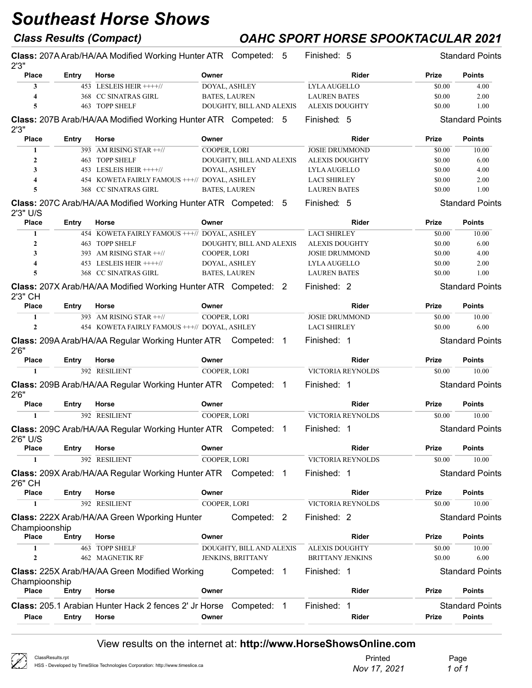## Class Results (Compact) OAHC SPORT HORSE SPOOKTACULAR 2021

| 2'3''                         |              | <b>Class: 207A Arab/HA/AA Modified Working Hunter ATR Competed: 5</b>  |                          | Finished: 5                         |                 | <b>Standard Points</b> |
|-------------------------------|--------------|------------------------------------------------------------------------|--------------------------|-------------------------------------|-----------------|------------------------|
| <b>Place</b>                  | Entry        | Horse                                                                  | Owner                    | <b>Rider</b>                        | Prize           | <b>Points</b>          |
| 3                             |              | 453 LESLEIS HEIR ++++//                                                | DOYAL, ASHLEY            | LYLA AUGELLO                        | \$0.00          | 4.00                   |
| 4                             |              | 368 CC SINATRAS GIRL                                                   | <b>BATES, LAUREN</b>     | <b>LAUREN BATES</b>                 | \$0.00          | 2.00                   |
| 5                             |              | 463 TOPP SHELF                                                         | DOUGHTY, BILL AND ALEXIS | <b>ALEXIS DOUGHTY</b>               | \$0.00          | 1.00                   |
| 2'3''                         |              | <b>Class: 207B Arab/HA/AA Modified Working Hunter ATR Competed: 5</b>  |                          | Finished: 5                         |                 | <b>Standard Points</b> |
| <b>Place</b>                  | <b>Entry</b> | Horse                                                                  | Owner                    | Rider                               | Prize           | <b>Points</b>          |
| 1                             |              | 393 AM RISING STAR ++//                                                | COOPER, LORI             | <b>JOSIE DRUMMOND</b>               | \$0.00          | 10.00                  |
| $\boldsymbol{2}$              |              | 463 TOPP SHELF                                                         | DOUGHTY, BILL AND ALEXIS | <b>ALEXIS DOUGHTY</b>               | \$0.00          | 6.00                   |
| 3                             |              | 453 LESLEIS HEIR $+++/$                                                | DOYAL, ASHLEY            | <b>LYLAAUGELLO</b>                  | \$0.00          | 4.00                   |
| 4                             |              | 454 KOWETA FAIRLY FAMOUS +++// DOYAL, ASHLEY                           |                          | <b>LACI SHIRLEY</b>                 | \$0.00          | 2.00                   |
| 5                             |              | 368 CC SINATRAS GIRL                                                   | <b>BATES, LAUREN</b>     | <b>LAUREN BATES</b>                 | \$0.00          | 1.00                   |
|                               |              | <b>Class: 207C Arab/HA/AA Modified Working Hunter ATR Competed: 5</b>  |                          | Finished: 5                         |                 | <b>Standard Points</b> |
| 2'3" U/S                      |              |                                                                        |                          |                                     |                 |                        |
| <b>Place</b><br>1             | Entry        | Horse<br>454 KOWETA FAIRLY FAMOUS +++// DOYAL, ASHLEY                  | Owner                    | <b>Rider</b><br><b>LACI SHIRLEY</b> | Prize<br>\$0.00 | <b>Points</b><br>10.00 |
|                               |              |                                                                        |                          |                                     |                 |                        |
| $\mathbf{2}$                  |              | 463 TOPP SHELF                                                         | DOUGHTY, BILL AND ALEXIS | <b>ALEXIS DOUGHTY</b>               | \$0.00          | 6.00                   |
| 3                             |              | 393 AM RISING STAR $++$ //                                             | COOPER, LORI             | <b>JOSIE DRUMMOND</b>               | \$0.00          | 4.00                   |
| 4                             |              | 453 LESLEIS HEIR ++++//                                                | DOYAL, ASHLEY            | LYLA AUGELLO                        | \$0.00          | 2.00                   |
| 5                             |              | 368 CC SINATRAS GIRL                                                   | <b>BATES, LAUREN</b>     | <b>LAUREN BATES</b>                 | \$0.00          | 1.00                   |
| 2'3" CH                       |              | <b>Class: 207X Arab/HA/AA Modified Working Hunter ATR Competed: 2</b>  |                          | Finished: 2                         |                 | <b>Standard Points</b> |
| <b>Place</b>                  | Entry        | Horse                                                                  | Owner                    | <b>Rider</b>                        | <b>Prize</b>    | <b>Points</b>          |
| 1                             |              | 393 AM RISING STAR ++//                                                | COOPER, LORI             | <b>JOSIE DRUMMOND</b>               | \$0.00          | 10.00                  |
| $\mathbf{2}$                  |              | 454 KOWETA FAIRLY FAMOUS +++// DOYAL, ASHLEY                           |                          | <b>LACI SHIRLEY</b>                 | \$0.00          | 6.00                   |
| 2'6''                         |              | <b>Class: 209A Arab/HA/AA Regular Working Hunter ATR Competed: 1</b>   |                          | Finished: 1                         |                 | <b>Standard Points</b> |
| <b>Place</b>                  | Entry        | Horse                                                                  | Owner                    | <b>Rider</b>                        | Prize           | <b>Points</b>          |
| $\mathbf{1}$                  |              | 392 RESILIENT                                                          | COOPER, LORI             | <b>VICTORIA REYNOLDS</b>            | \$0.00          | 10.00                  |
| 2'6''                         |              | Class: 209B Arab/HA/AA Regular Working Hunter ATR Competed: 1          |                          | Finished: 1                         |                 | <b>Standard Points</b> |
| <b>Place</b>                  | Entry        | Horse                                                                  | Owner                    | Rider                               | Prize           | <b>Points</b>          |
| 1                             |              | 392 RESILIENT                                                          | COOPER, LORI             | <b>VICTORIA REYNOLDS</b>            | \$0.00          | 10.00                  |
| 2'6" U/S                      |              | Class: 209C Arab/HA/AA Regular Working Hunter ATR Competed: 1          |                          | Finished: 1                         |                 | <b>Standard Points</b> |
| <b>Place</b>                  | Entry        | Horse                                                                  | Owner                    | Rider                               | Prize           | <b>Points</b>          |
| $\mathbf{1}$                  |              | 392 RESILIENT                                                          | COOPER, LORI             | <b>VICTORIA REYNOLDS</b>            | \$0.00          | 10.00                  |
| 2'6" CH                       |              | <b>Class: 209X Arab/HA/AA Regular Working Hunter ATR Competed: 1</b>   |                          | Finished: 1                         |                 | <b>Standard Points</b> |
| <b>Place</b>                  | Entry        | Horse                                                                  | Owner                    | Rider                               | Prize           | <b>Points</b>          |
| 1                             |              | 392 RESILIENT                                                          | <b>COOPER, LORI</b>      | <b>VICTORIA REYNOLDS</b>            | \$0.00          | 10.00                  |
|                               |              | Class: 222X Arab/HA/AA Green Wporking Hunter                           | Competed: 2              | Finished: 2                         |                 | <b>Standard Points</b> |
| Champioonship<br><b>Place</b> | Entry        | Horse                                                                  | Owner                    | Rider                               | Prize           | <b>Points</b>          |
| 1                             |              | 463 TOPP SHELF                                                         | DOUGHTY, BILL AND ALEXIS | <b>ALEXIS DOUGHTY</b>               | \$0.00          | 10.00                  |
| $\mathbf{2}$                  |              | <b>462 MAGNETIK RF</b>                                                 | JENKINS, BRITTANY        | <b>BRITTANY JENKINS</b>             | \$0.00          | 6.00                   |
|                               |              | Class: 225X Arab/HA/AA Green Modified Working                          | Competed: 1              | Finished: 1                         |                 | <b>Standard Points</b> |
| Champioonship<br><b>Place</b> | Entry        | Horse                                                                  | Owner                    | Rider                               | Prize           | <b>Points</b>          |
|                               |              | <b>Class:</b> 205.1 Arabian Hunter Hack 2 fences 2' Jr Horse Competed: | $\overline{1}$           | Finished: 1                         |                 | <b>Standard Points</b> |
| <b>Place</b>                  | Entry        | Horse                                                                  | Owner                    | Rider                               | Prize           | <b>Points</b>          |
|                               |              |                                                                        |                          |                                     |                 |                        |

| B | ClassResults.rpt             |
|---|------------------------------|
|   | HSS - Developed by TimeSlice |